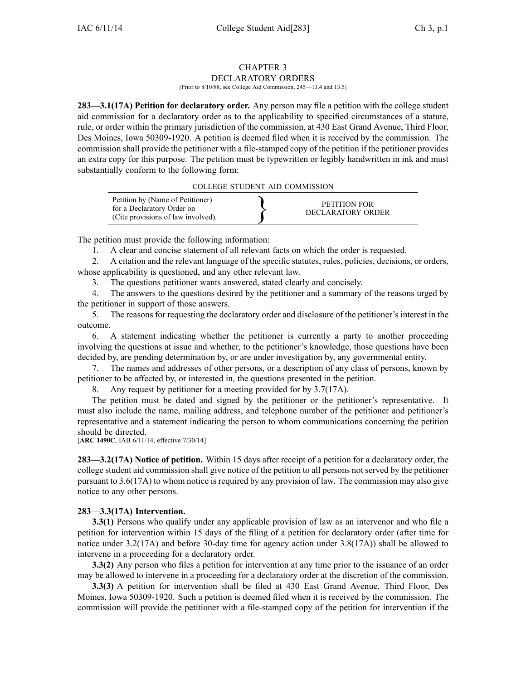#### CHAPTER 3 DECLARATORY ORDERS

[Prior to 8/10/88, see College Aid Commission, 245—13.4 and 13.5]

**283—3.1(17A) Petition for declaratory order.** Any person may file <sup>a</sup> petition with the college student aid commission for <sup>a</sup> declaratory order as to the applicability to specified circumstances of <sup>a</sup> statute, rule, or order within the primary jurisdiction of the commission, at 430 East Grand Avenue, Third Floor, Des Moines, Iowa 50309-1920. A petition is deemed filed when it is received by the commission. The commission shall provide the petitioner with <sup>a</sup> file-stamped copy of the petition if the petitioner provides an extra copy for this purpose. The petition must be typewritten or legibly handwritten in ink and must substantially conform to the following form:

#### COLLEGE STUDENT AID COMMISSION

| Petition by (Name of Petitioner)<br>for a Declaratory Order on<br>(Cite provisions of law involved). | PETITION FOR<br>DECLARATORY ORDER |  |
|------------------------------------------------------------------------------------------------------|-----------------------------------|--|
|------------------------------------------------------------------------------------------------------|-----------------------------------|--|

The petition must provide the following information:

1. A clear and concise statement of all relevant facts on which the order is requested.

2. A citation and the relevant language of the specific statutes, rules, policies, decisions, or orders, whose applicability is questioned, and any other relevant law.

3. The questions petitioner wants answered, stated clearly and concisely.

4. The answers to the questions desired by the petitioner and <sup>a</sup> summary of the reasons urged by the petitioner in suppor<sup>t</sup> of those answers.

5. The reasons for requesting the declaratory order and disclosure of the petitioner's interest in the outcome.

6. A statement indicating whether the petitioner is currently <sup>a</sup> party to another proceeding involving the questions at issue and whether, to the petitioner's knowledge, those questions have been decided by, are pending determination by, or are under investigation by, any governmental entity.

7. The names and addresses of other persons, or <sup>a</sup> description of any class of persons, known by petitioner to be affected by, or interested in, the questions presented in the petition.

8. Any reques<sup>t</sup> by petitioner for <sup>a</sup> meeting provided for by 3.7(17A).

The petition must be dated and signed by the petitioner or the petitioner's representative. It must also include the name, mailing address, and telephone number of the petitioner and petitioner's representative and <sup>a</sup> statement indicating the person to whom communications concerning the petition should be directed.

[**ARC 1490C**, IAB 6/11/14, effective 7/30/14]

**283—3.2(17A) Notice of petition.** Within 15 days after receipt of <sup>a</sup> petition for <sup>a</sup> declaratory order, the college student aid commission shall give notice of the petition to all persons not served by the petitioner pursuan<sup>t</sup> to 3.6(17A) to whom notice is required by any provision of law. The commission may also give notice to any other persons.

# **283—3.3(17A) Intervention.**

**3.3(1)** Persons who qualify under any applicable provision of law as an intervenor and who file a petition for intervention within 15 days of the filing of <sup>a</sup> petition for declaratory order (after time for notice under 3.2(17A) and before 30-day time for agency action under 3.8(17A)) shall be allowed to intervene in <sup>a</sup> proceeding for <sup>a</sup> declaratory order.

**3.3(2)** Any person who files <sup>a</sup> petition for intervention at any time prior to the issuance of an order may be allowed to intervene in <sup>a</sup> proceeding for <sup>a</sup> declaratory order at the discretion of the commission.

**3.3(3)** A petition for intervention shall be filed at 430 East Grand Avenue, Third Floor, Des Moines, Iowa 50309-1920. Such <sup>a</sup> petition is deemed filed when it is received by the commission. The commission will provide the petitioner with <sup>a</sup> file-stamped copy of the petition for intervention if the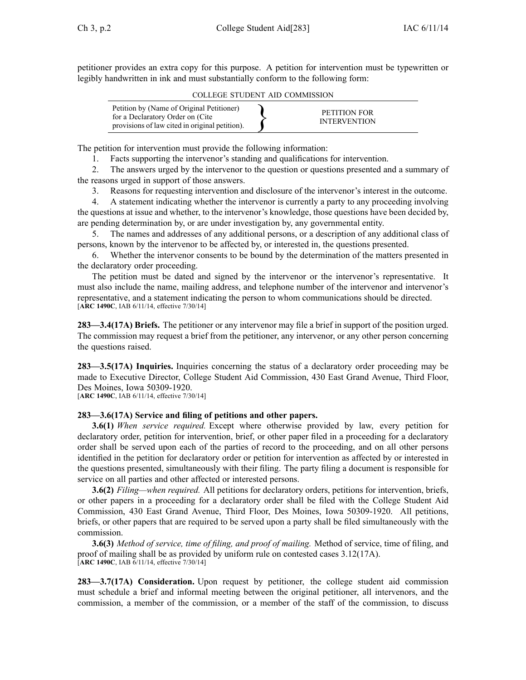petitioner provides an extra copy for this purpose. A petition for intervention must be typewritten or legibly handwritten in ink and must substantially conform to the following form:

COLLEGE STUDENT AID COMMISSION

| Petition by (Name of Original Petitioner)<br>for a Declaratory Order on (Cite)<br>provisions of law cited in original petition). |  | PETITION FOR<br><b>INTERVENTION</b> |
|----------------------------------------------------------------------------------------------------------------------------------|--|-------------------------------------|
|----------------------------------------------------------------------------------------------------------------------------------|--|-------------------------------------|

The petition for intervention must provide the following information:

1. Facts supporting the intervenor's standing and qualifications for intervention.

2. The answers urged by the intervenor to the question or questions presented and <sup>a</sup> summary of the reasons urged in suppor<sup>t</sup> of those answers.

3. Reasons for requesting intervention and disclosure of the intervenor's interest in the outcome.

4. A statement indicating whether the intervenor is currently <sup>a</sup> party to any proceeding involving the questions at issue and whether, to the intervenor's knowledge, those questions have been decided by, are pending determination by, or are under investigation by, any governmental entity.

5. The names and addresses of any additional persons, or <sup>a</sup> description of any additional class of persons, known by the intervenor to be affected by, or interested in, the questions presented.

6. Whether the intervenor consents to be bound by the determination of the matters presented in the declaratory order proceeding.

The petition must be dated and signed by the intervenor or the intervenor's representative. It must also include the name, mailing address, and telephone number of the intervenor and intervenor's representative, and <sup>a</sup> statement indicating the person to whom communications should be directed. [**ARC 1490C**, IAB 6/11/14, effective 7/30/14]

**283—3.4(17A) Briefs.** The petitioner or any intervenor may file <sup>a</sup> brief in suppor<sup>t</sup> of the position urged. The commission may reques<sup>t</sup> <sup>a</sup> brief from the petitioner, any intervenor, or any other person concerning the questions raised.

**283—3.5(17A) Inquiries.** Inquiries concerning the status of <sup>a</sup> declaratory order proceeding may be made to Executive Director, College Student Aid Commission, 430 East Grand Avenue, Third Floor, Des Moines, Iowa 50309-1920.

[**ARC 1490C**, IAB 6/11/14, effective 7/30/14]

# **283—3.6(17A) Service and filing of petitions and other papers.**

**3.6(1)** *When service required.* Except where otherwise provided by law, every petition for declaratory order, petition for intervention, brief, or other paper filed in <sup>a</sup> proceeding for <sup>a</sup> declaratory order shall be served upon each of the parties of record to the proceeding, and on all other persons identified in the petition for declaratory order or petition for intervention as affected by or interested in the questions presented, simultaneously with their filing. The party filing <sup>a</sup> document is responsible for service on all parties and other affected or interested persons.

**3.6(2)** *Filing—when required.* All petitions for declaratory orders, petitions for intervention, briefs, or other papers in <sup>a</sup> proceeding for <sup>a</sup> declaratory order shall be filed with the College Student Aid Commission, 430 East Grand Avenue, Third Floor, Des Moines, Iowa 50309-1920. All petitions, briefs, or other papers that are required to be served upon <sup>a</sup> party shall be filed simultaneously with the commission.

**3.6(3)** *Method of service, time of filing, and proof of mailing.* Method of service, time of filing, and proof of mailing shall be as provided by uniform rule on contested cases 3.12(17A). [**ARC 1490C**, IAB 6/11/14, effective 7/30/14]

**283—3.7(17A) Consideration.** Upon reques<sup>t</sup> by petitioner, the college student aid commission must schedule <sup>a</sup> brief and informal meeting between the original petitioner, all intervenors, and the commission, <sup>a</sup> member of the commission, or <sup>a</sup> member of the staff of the commission, to discuss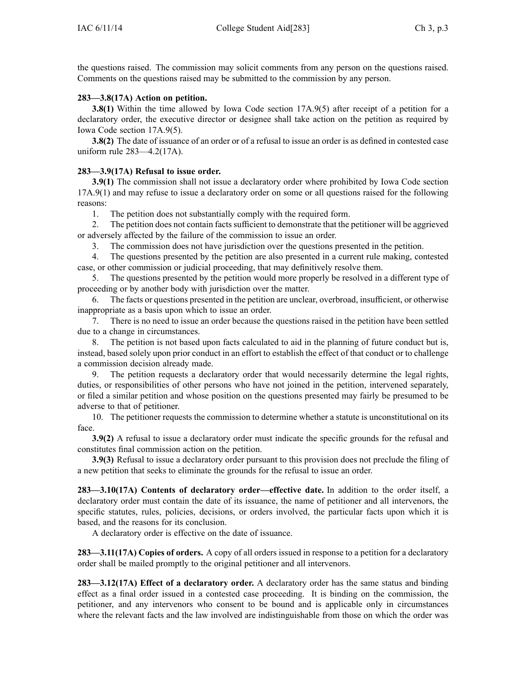the questions raised. The commission may solicit comments from any person on the questions raised. Comments on the questions raised may be submitted to the commission by any person.

## **283—3.8(17A) Action on petition.**

**3.8(1)** Within the time allowed by Iowa Code section [17A.9\(5\)](https://www.legis.iowa.gov/docs/ico/section/17A.9.pdf) after receipt of a petition for a declaratory order, the executive director or designee shall take action on the petition as required by Iowa Code section [17A.9\(5\)](https://www.legis.iowa.gov/docs/ico/section/17A.9.pdf).

**3.8(2)** The date of issuance of an order or of a refusal to issue an order is as defined in contested case uniform rule 283—4.2(17A).

## **283—3.9(17A) Refusal to issue order.**

**3.9(1)** The commission shall not issue <sup>a</sup> declaratory order where prohibited by Iowa Code section [17A.9\(1\)](https://www.legis.iowa.gov/docs/ico/section/17A.9.pdf) and may refuse to issue <sup>a</sup> declaratory order on some or all questions raised for the following reasons:

1. The petition does not substantially comply with the required form.

2. The petition does not contain facts sufficient to demonstrate that the petitioner will be aggrieved or adversely affected by the failure of the commission to issue an order.

3. The commission does not have jurisdiction over the questions presented in the petition.

4. The questions presented by the petition are also presented in <sup>a</sup> current rule making, contested case, or other commission or judicial proceeding, that may definitively resolve them.

5. The questions presented by the petition would more properly be resolved in <sup>a</sup> different type of proceeding or by another body with jurisdiction over the matter.

6. The facts or questions presented in the petition are unclear, overbroad, insufficient, or otherwise inappropriate as <sup>a</sup> basis upon which to issue an order.

7. There is no need to issue an order because the questions raised in the petition have been settled due to <sup>a</sup> change in circumstances.

8. The petition is not based upon facts calculated to aid in the planning of future conduct but is, instead, based solely upon prior conduct in an effort to establish the effect of that conduct or to challenge <sup>a</sup> commission decision already made.

9. The petition requests <sup>a</sup> declaratory order that would necessarily determine the legal rights, duties, or responsibilities of other persons who have not joined in the petition, intervened separately, or filed <sup>a</sup> similar petition and whose position on the questions presented may fairly be presumed to be adverse to that of petitioner.

10. The petitioner requests the commission to determine whether <sup>a</sup> statute is unconstitutional on its face.

**3.9(2)** A refusal to issue <sup>a</sup> declaratory order must indicate the specific grounds for the refusal and constitutes final commission action on the petition.

**3.9(3)** Refusal to issue <sup>a</sup> declaratory order pursuan<sup>t</sup> to this provision does not preclude the filing of <sup>a</sup> new petition that seeks to eliminate the grounds for the refusal to issue an order.

**283—3.10(17A) Contents of declaratory order—effective date.** In addition to the order itself, <sup>a</sup> declaratory order must contain the date of its issuance, the name of petitioner and all intervenors, the specific statutes, rules, policies, decisions, or orders involved, the particular facts upon which it is based, and the reasons for its conclusion.

A declaratory order is effective on the date of issuance.

**283—3.11(17A) Copies of orders.** A copy of all orders issued in response to <sup>a</sup> petition for <sup>a</sup> declaratory order shall be mailed promptly to the original petitioner and all intervenors.

**283—3.12(17A) Effect of <sup>a</sup> declaratory order.** A declaratory order has the same status and binding effect as <sup>a</sup> final order issued in <sup>a</sup> contested case proceeding. It is binding on the commission, the petitioner, and any intervenors who consent to be bound and is applicable only in circumstances where the relevant facts and the law involved are indistinguishable from those on which the order was